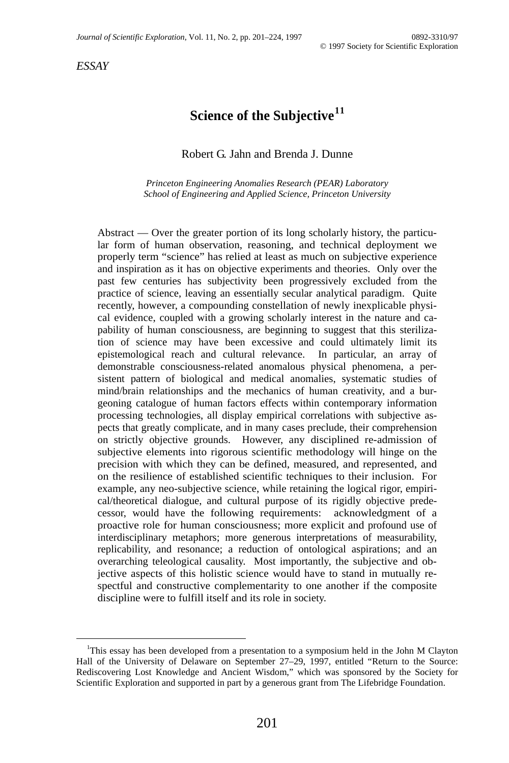$\overline{a}$ 

# **Science of the Subjective[1](#page-0-0)1**

## Robert G. Jahn and Brenda J. Dunne

*Princeton Engineering Anomalies Research (PEAR) Laboratory School of Engineering and Applied Science, Princeton University* 

Abstract — Over the greater portion of its long scholarly history, the particular form of human observation, reasoning, and technical deployment we properly term "science" has relied at least as much on subjective experience and inspiration as it has on objective experiments and theories. Only over the past few centuries has subjectivity been progressively excluded from the practice of science, leaving an essentially secular analytical paradigm. Quite recently, however, a compounding constellation of newly inexplicable physical evidence, coupled with a growing scholarly interest in the nature and capability of human consciousness, are beginning to suggest that this sterilization of science may have been excessive and could ultimately limit its epistemological reach and cultural relevance. In particular, an array of demonstrable consciousness-related anomalous physical phenomena, a persistent pattern of biological and medical anomalies, systematic studies of mind/brain relationships and the mechanics of human creativity, and a burgeoning catalogue of human factors effects within contemporary information processing technologies, all display empirical correlations with subjective aspects that greatly complicate, and in many cases preclude, their comprehension on strictly objective grounds. However, any disciplined re-admission of subjective elements into rigorous scientific methodology will hinge on the precision with which they can be defined, measured, and represented, and on the resilience of established scientific techniques to their inclusion. For example, any neo-subjective science, while retaining the logical rigor, empirical/theoretical dialogue, and cultural purpose of its rigidly objective predecessor, would have the following requirements: acknowledgment of a proactive role for human consciousness; more explicit and profound use of interdisciplinary metaphors; more generous interpretations of measurability, replicability, and resonance; a reduction of ontological aspirations; and an overarching teleological causality. Most importantly, the subjective and objective aspects of this holistic science would have to stand in mutually respectful and constructive complementarity to one another if the composite discipline were to fulfill itself and its role in society.

<span id="page-0-0"></span><sup>&</sup>lt;sup>1</sup>This essay has been developed from a presentation to a symposium held in the John M Clayton Hall of the University of Delaware on September 27–29, 1997, entitled "Return to the Source: Rediscovering Lost Knowledge and Ancient Wisdom," which was sponsored by the Society for Scientific Exploration and supported in part by a generous grant from The Lifebridge Foundation.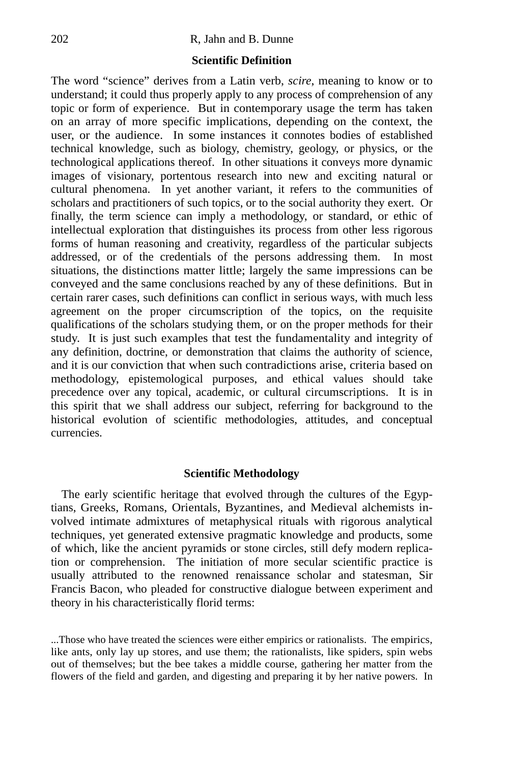# **Scientific Definition**

The word "science" derives from a Latin verb, *scire*, meaning to know or to understand; it could thus properly apply to any process of comprehension of any topic or form of experience. But in contemporary usage the term has taken on an array of more specific implications, depending on the context, the user, or the audience. In some instances it connotes bodies of established technical knowledge, such as biology, chemistry, geology, or physics, or the technological applications thereof. In other situations it conveys more dynamic images of visionary, portentous research into new and exciting natural or cultural phenomena. In yet another variant, it refers to the communities of scholars and practitioners of such topics, or to the social authority they exert. Or finally, the term science can imply a methodology, or standard, or ethic of intellectual exploration that distinguishes its process from other less rigorous forms of human reasoning and creativity, regardless of the particular subjects addressed, or of the credentials of the persons addressing them. In most situations, the distinctions matter little; largely the same impressions can be conveyed and the same conclusions reached by any of these definitions. But in certain rarer cases, such definitions can conflict in serious ways, with much less agreement on the proper circumscription of the topics, on the requisite qualifications of the scholars studying them, or on the proper methods for their study. It is just such examples that test the fundamentality and integrity of any definition, doctrine, or demonstration that claims the authority of science, and it is our conviction that when such contradictions arise, criteria based on methodology, epistemological purposes, and ethical values should take precedence over any topical, academic, or cultural circumscriptions. It is in this spirit that we shall address our subject, referring for background to the historical evolution of scientific methodologies, attitudes, and conceptual currencies.

# **Scientific Methodology**

The early scientific heritage that evolved through the cultures of the Egyptians, Greeks, Romans, Orientals, Byzantines, and Medieval alchemists involved intimate admixtures of metaphysical rituals with rigorous analytical techniques, yet generated extensive pragmatic knowledge and products, some of which, like the ancient pyramids or stone circles, still defy modern replication or comprehension. The initiation of more secular scientific practice is usually attributed to the renowned renaissance scholar and statesman, Sir Francis Bacon, who pleaded for constructive dialogue between experiment and theory in his characteristically florid terms:

...Those who have treated the sciences were either empirics or rationalists. The empirics, like ants, only lay up stores, and use them; the rationalists, like spiders, spin webs out of themselves; but the bee takes a middle course, gathering her matter from the flowers of the field and garden, and digesting and preparing it by her native powers. In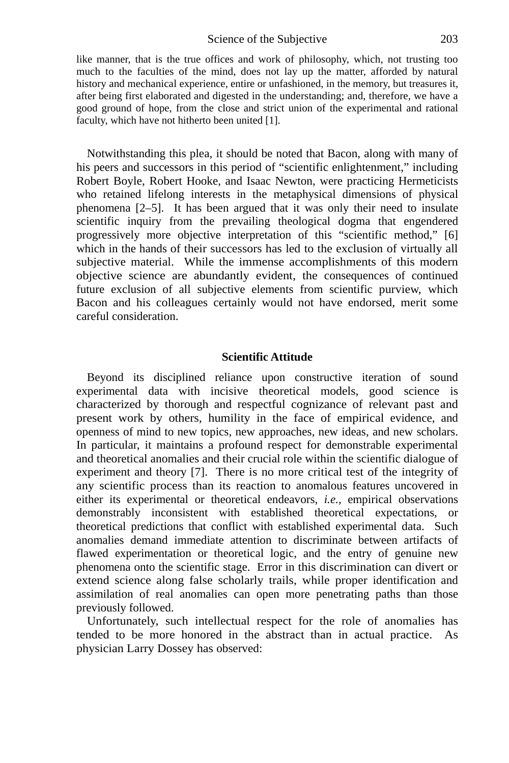#### Science of the Subjective 203

like manner, that is the true offices and work of philosophy, which, not trusting too much to the faculties of the mind, does not lay up the matter, afforded by natural history and mechanical experience, entire or unfashioned, in the memory, but treasures it, after being first elaborated and digested in the understanding; and, therefore, we have a good ground of hope, from the close and strict union of the experimental and rational faculty, which have not hitherto been united [1].

Notwithstanding this plea, it should be noted that Bacon, along with many of his peers and successors in this period of "scientific enlightenment," including Robert Boyle, Robert Hooke, and Isaac Newton, were practicing Hermeticists who retained lifelong interests in the metaphysical dimensions of physical phenomena [2–5]. It has been argued that it was only their need to insulate scientific inquiry from the prevailing theological dogma that engendered progressively more objective interpretation of this "scientific method," [6] which in the hands of their successors has led to the exclusion of virtually all subjective material. While the immense accomplishments of this modern objective science are abundantly evident, the consequences of continued future exclusion of all subjective elements from scientific purview, which Bacon and his colleagues certainly would not have endorsed, merit some careful consideration.

## **Scientific Attitude**

Beyond its disciplined reliance upon constructive iteration of sound experimental data with incisive theoretical models, good science is characterized by thorough and respectful cognizance of relevant past and present work by others, humility in the face of empirical evidence, and openness of mind to new topics, new approaches, new ideas, and new scholars. In particular, it maintains a profound respect for demonstrable experimental and theoretical anomalies and their crucial role within the scientific dialogue of experiment and theory [7]. There is no more critical test of the integrity of any scientific process than its reaction to anomalous features uncovered in either its experimental or theoretical endeavors, *i.e.*, empirical observations demonstrably inconsistent with established theoretical expectations, or theoretical predictions that conflict with established experimental data. Such anomalies demand immediate attention to discriminate between artifacts of flawed experimentation or theoretical logic, and the entry of genuine new phenomena onto the scientific stage. Error in this discrimination can divert or extend science along false scholarly trails, while proper identification and assimilation of real anomalies can open more penetrating paths than those previously followed.

Unfortunately, such intellectual respect for the role of anomalies has tended to be more honored in the abstract than in actual practice. As physician Larry Dossey has observed: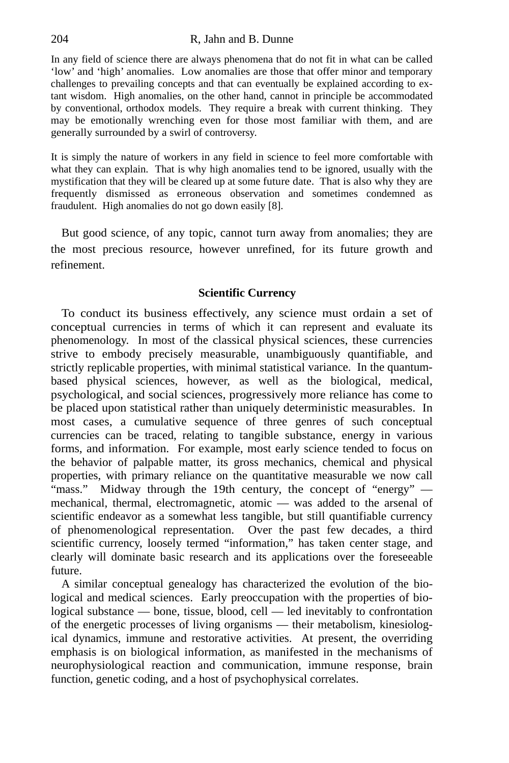# 204 R, Jahn and B. Dunne

In any field of science there are always phenomena that do not fit in what can be called 'low' and 'high' anomalies. Low anomalies are those that offer minor and temporary challenges to prevailing concepts and that can eventually be explained according to extant wisdom. High anomalies, on the other hand, cannot in principle be accommodated by conventional, orthodox models. They require a break with current thinking. They may be emotionally wrenching even for those most familiar with them, and are generally surrounded by a swirl of controversy.

It is simply the nature of workers in any field in science to feel more comfortable with what they can explain. That is why high anomalies tend to be ignored, usually with the mystification that they will be cleared up at some future date. That is also why they are frequently dismissed as erroneous observation and sometimes condemned as fraudulent. High anomalies do not go down easily [8].

But good science, of any topic, cannot turn away from anomalies; they are the most precious resource, however unrefined, for its future growth and refinement.

## **Scientific Currency**

To conduct its business effectively, any science must ordain a set of conceptual currencies in terms of which it can represent and evaluate its phenomenology. In most of the classical physical sciences, these currencies strive to embody precisely measurable, unambiguously quantifiable, and strictly replicable properties, with minimal statistical variance. In the quantumbased physical sciences, however, as well as the biological, medical, psychological, and social sciences, progressively more reliance has come to be placed upon statistical rather than uniquely deterministic measurables. In most cases, a cumulative sequence of three genres of such conceptual currencies can be traced, relating to tangible substance, energy in various forms, and information. For example, most early science tended to focus on the behavior of palpable matter, its gross mechanics, chemical and physical properties, with primary reliance on the quantitative measurable we now call "mass." Midway through the 19th century, the concept of "energy" mechanical, thermal, electromagnetic, atomic — was added to the arsenal of scientific endeavor as a somewhat less tangible, but still quantifiable currency of phenomenological representation. Over the past few decades, a third scientific currency, loosely termed "information," has taken center stage, and clearly will dominate basic research and its applications over the foreseeable future.

A similar conceptual genealogy has characterized the evolution of the biological and medical sciences. Early preoccupation with the properties of biological substance — bone, tissue, blood, cell — led inevitably to confrontation of the energetic processes of living organisms — their metabolism, kinesiological dynamics, immune and restorative activities. At present, the overriding emphasis is on biological information, as manifested in the mechanisms of neurophysiological reaction and communication, immune response, brain function, genetic coding, and a host of psychophysical correlates.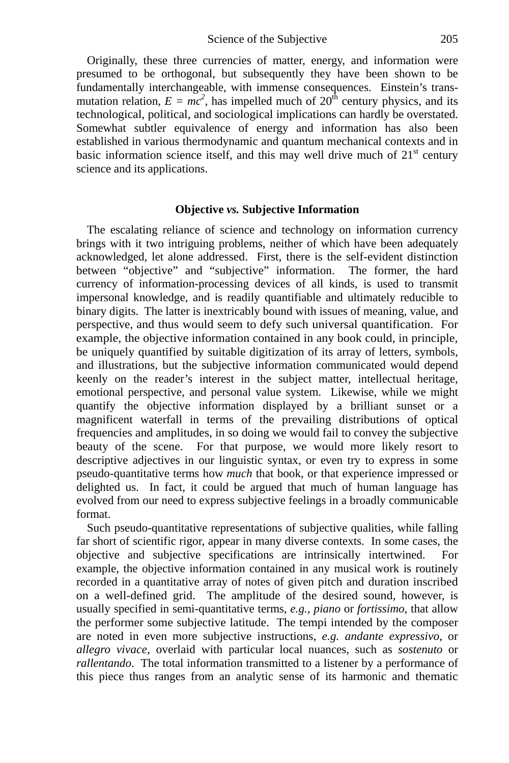Originally, these three currencies of matter, energy, and information were presumed to be orthogonal, but subsequently they have been shown to be fundamentally interchangeable, with immense consequences. Einstein's transmutation relation,  $E = mc^2$ , has impelled much of 20<sup>th</sup> century physics, and its technological, political, and sociological implications can hardly be overstated. Somewhat subtler equivalence of energy and information has also been established in various thermodynamic and quantum mechanical contexts and in basic information science itself, and this may well drive much of  $21<sup>st</sup>$  century science and its applications.

## **Objective** *vs.* **Subjective Information**

The escalating reliance of science and technology on information currency brings with it two intriguing problems, neither of which have been adequately acknowledged, let alone addressed. First, there is the self-evident distinction between "objective" and "subjective" information. The former, the hard currency of information-processing devices of all kinds, is used to transmit impersonal knowledge, and is readily quantifiable and ultimately reducible to binary digits. The latter is inextricably bound with issues of meaning, value, and perspective, and thus would seem to defy such universal quantification. For example, the objective information contained in any book could, in principle, be uniquely quantified by suitable digitization of its array of letters, symbols, and illustrations, but the subjective information communicated would depend keenly on the reader's interest in the subject matter, intellectual heritage, emotional perspective, and personal value system. Likewise, while we might quantify the objective information displayed by a brilliant sunset or a magnificent waterfall in terms of the prevailing distributions of optical frequencies and amplitudes, in so doing we would fail to convey the subjective beauty of the scene. For that purpose, we would more likely resort to descriptive adjectives in our linguistic syntax, or even try to express in some pseudo-quantitative terms how *much* that book, or that experience impressed or delighted us. In fact, it could be argued that much of human language has evolved from our need to express subjective feelings in a broadly communicable format.

Such pseudo-quantitative representations of subjective qualities, while falling far short of scientific rigor, appear in many diverse contexts. In some cases, the objective and subjective specifications are intrinsically intertwined. For example, the objective information contained in any musical work is routinely recorded in a quantitative array of notes of given pitch and duration inscribed on a well-defined grid. The amplitude of the desired sound, however, is usually specified in semi-quantitative terms, *e.g.*, *piano* or *fortissimo*, that allow the performer some subjective latitude. The tempi intended by the composer are noted in even more subjective instructions, *e.g. andante expressivo*, or *allegro vivace*, overlaid with particular local nuances, such as *sostenuto* or *rallentando*. The total information transmitted to a listener by a performance of this piece thus ranges from an analytic sense of its harmonic and thematic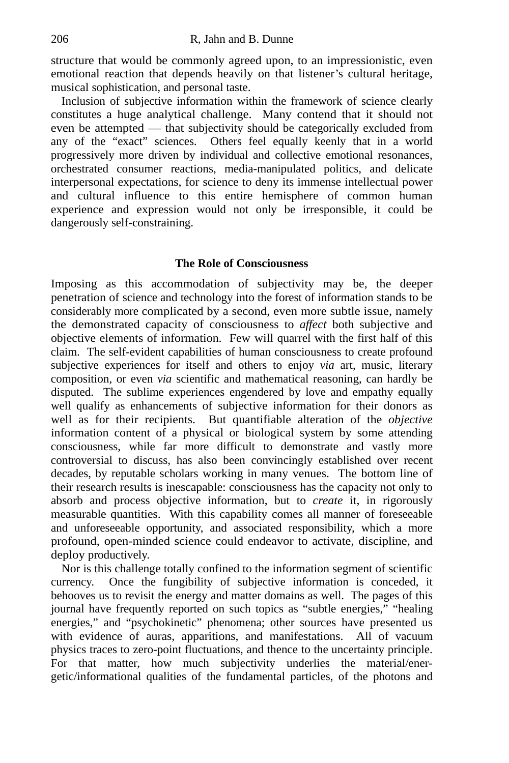structure that would be commonly agreed upon, to an impressionistic, even emotional reaction that depends heavily on that listener's cultural heritage, musical sophistication, and personal taste.

Inclusion of subjective information within the framework of science clearly constitutes a huge analytical challenge. Many contend that it should not even be attempted — that subjectivity should be categorically excluded from any of the "exact" sciences. Others feel equally keenly that in a world progressively more driven by individual and collective emotional resonances, orchestrated consumer reactions, media-manipulated politics, and delicate interpersonal expectations, for science to deny its immense intellectual power and cultural influence to this entire hemisphere of common human experience and expression would not only be irresponsible, it could be dangerously self-constraining.

# **The Role of Consciousness**

Imposing as this accommodation of subjectivity may be, the deeper penetration of science and technology into the forest of information stands to be considerably more complicated by a second, even more subtle issue, namely the demonstrated capacity of consciousness to *affect* both subjective and objective elements of information. Few will quarrel with the first half of this claim. The self-evident capabilities of human consciousness to create profound subjective experiences for itself and others to enjoy *via* art, music, literary composition, or even *via* scientific and mathematical reasoning, can hardly be disputed. The sublime experiences engendered by love and empathy equally well qualify as enhancements of subjective information for their donors as well as for their recipients. But quantifiable alteration of the *objective* information content of a physical or biological system by some attending consciousness, while far more difficult to demonstrate and vastly more controversial to discuss, has also been convincingly established over recent decades, by reputable scholars working in many venues. The bottom line of their research results is inescapable: consciousness has the capacity not only to absorb and process objective information, but to *create* it, in rigorously measurable quantities. With this capability comes all manner of foreseeable and unforeseeable opportunity, and associated responsibility, which a more profound, open-minded science could endeavor to activate, discipline, and deploy productively.

Nor is this challenge totally confined to the information segment of scientific currency. Once the fungibility of subjective information is conceded, it behooves us to revisit the energy and matter domains as well. The pages of this journal have frequently reported on such topics as "subtle energies," "healing energies," and "psychokinetic" phenomena; other sources have presented us with evidence of auras, apparitions, and manifestations. All of vacuum physics traces to zero-point fluctuations, and thence to the uncertainty principle. For that matter, how much subjectivity underlies the material/energetic/informational qualities of the fundamental particles, of the photons and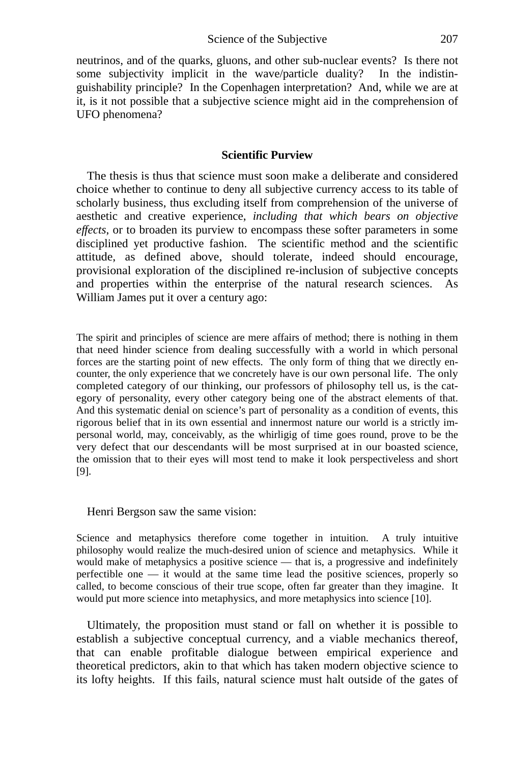neutrinos, and of the quarks, gluons, and other sub-nuclear events? Is there not some subjectivity implicit in the wave/particle duality? In the indistinguishability principle? In the Copenhagen interpretation? And, while we are at it, is it not possible that a subjective science might aid in the comprehension of UFO phenomena?

## **Scientific Purview**

The thesis is thus that science must soon make a deliberate and considered choice whether to continue to deny all subjective currency access to its table of scholarly business, thus excluding itself from comprehension of the universe of aesthetic and creative experience, *including that which bears on objective effects*, or to broaden its purview to encompass these softer parameters in some disciplined yet productive fashion. The scientific method and the scientific attitude, as defined above, should tolerate, indeed should encourage, provisional exploration of the disciplined re-inclusion of subjective concepts and properties within the enterprise of the natural research sciences. As William James put it over a century ago:

The spirit and principles of science are mere affairs of method; there is nothing in them that need hinder science from dealing successfully with a world in which personal forces are the starting point of new effects. The only form of thing that we directly encounter, the only experience that we concretely have is our own personal life. The only completed category of our thinking, our professors of philosophy tell us, is the category of personality, every other category being one of the abstract elements of that. And this systematic denial on science's part of personality as a condition of events, this rigorous belief that in its own essential and innermost nature our world is a strictly impersonal world, may, conceivably, as the whirligig of time goes round, prove to be the very defect that our descendants will be most surprised at in our boasted science, the omission that to their eyes will most tend to make it look perspectiveless and short [9].

## Henri Bergson saw the same vision:

Science and metaphysics therefore come together in intuition. A truly intuitive philosophy would realize the much-desired union of science and metaphysics. While it would make of metaphysics a positive science — that is, a progressive and indefinitely perfectible one  $-$  it would at the same time lead the positive sciences, properly so called, to become conscious of their true scope, often far greater than they imagine. It would put more science into metaphysics, and more metaphysics into science [10].

Ultimately, the proposition must stand or fall on whether it is possible to establish a subjective conceptual currency, and a viable mechanics thereof, that can enable profitable dialogue between empirical experience and theoretical predictors, akin to that which has taken modern objective science to its lofty heights. If this fails, natural science must halt outside of the gates of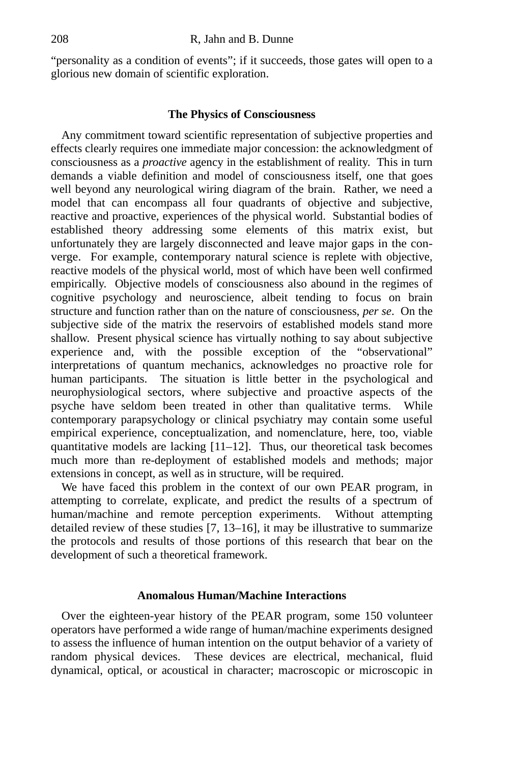"personality as a condition of events"; if it succeeds, those gates will open to a glorious new domain of scientific exploration.

## **The Physics of Consciousness**

Any commitment toward scientific representation of subjective properties and effects clearly requires one immediate major concession: the acknowledgment of consciousness as a *proactive* agency in the establishment of reality. This in turn demands a viable definition and model of consciousness itself, one that goes well beyond any neurological wiring diagram of the brain. Rather, we need a model that can encompass all four quadrants of objective and subjective, reactive and proactive, experiences of the physical world. Substantial bodies of established theory addressing some elements of this matrix exist, but unfortunately they are largely disconnected and leave major gaps in the converge. For example, contemporary natural science is replete with objective, reactive models of the physical world, most of which have been well confirmed empirically. Objective models of consciousness also abound in the regimes of cognitive psychology and neuroscience, albeit tending to focus on brain structure and function rather than on the nature of consciousness, *per se*. On the subjective side of the matrix the reservoirs of established models stand more shallow. Present physical science has virtually nothing to say about subjective experience and, with the possible exception of the "observational" interpretations of quantum mechanics, acknowledges no proactive role for human participants. The situation is little better in the psychological and neurophysiological sectors, where subjective and proactive aspects of the psyche have seldom been treated in other than qualitative terms. While contemporary parapsychology or clinical psychiatry may contain some useful empirical experience, conceptualization, and nomenclature, here, too, viable quantitative models are lacking  $[11-12]$ . Thus, our theoretical task becomes much more than re-deployment of established models and methods; major extensions in concept, as well as in structure, will be required.

We have faced this problem in the context of our own PEAR program, in attempting to correlate, explicate, and predict the results of a spectrum of human/machine and remote perception experiments. Without attempting detailed review of these studies [7, 13–16], it may be illustrative to summarize the protocols and results of those portions of this research that bear on the development of such a theoretical framework.

### **Anomalous Human/Machine Interactions**

Over the eighteen-year history of the PEAR program, some 150 volunteer operators have performed a wide range of human/machine experiments designed to assess the influence of human intention on the output behavior of a variety of random physical devices. These devices are electrical, mechanical, fluid dynamical, optical, or acoustical in character; macroscopic or microscopic in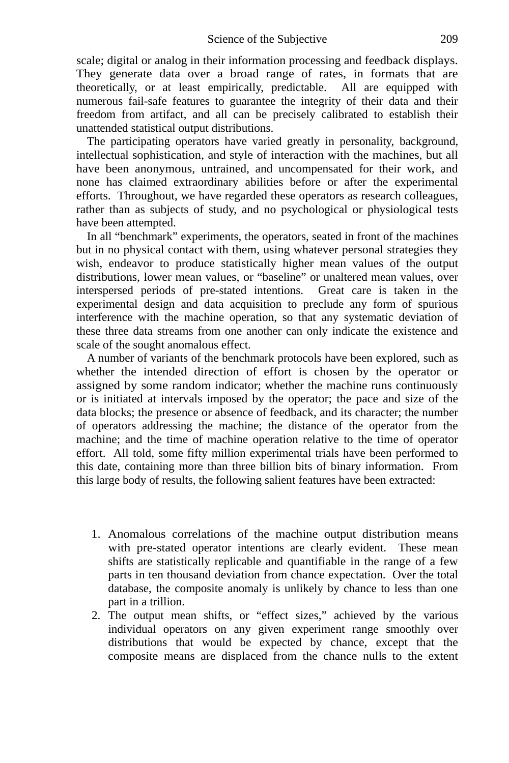scale; digital or analog in their information processing and feedback displays. They generate data over a broad range of rates, in formats that are theoretically, or at least empirically, predictable. All are equipped with numerous fail-safe features to guarantee the integrity of their data and their freedom from artifact, and all can be precisely calibrated to establish their unattended statistical output distributions.

The participating operators have varied greatly in personality, background, intellectual sophistication, and style of interaction with the machines, but all have been anonymous, untrained, and uncompensated for their work, and none has claimed extraordinary abilities before or after the experimental efforts. Throughout, we have regarded these operators as research colleagues, rather than as subjects of study, and no psychological or physiological tests have been attempted.

In all "benchmark" experiments, the operators, seated in front of the machines but in no physical contact with them, using whatever personal strategies they wish, endeavor to produce statistically higher mean values of the output distributions, lower mean values, or "baseline" or unaltered mean values, over interspersed periods of pre-stated intentions. Great care is taken in the experimental design and data acquisition to preclude any form of spurious interference with the machine operation, so that any systematic deviation of these three data streams from one another can only indicate the existence and scale of the sought anomalous effect.

A number of variants of the benchmark protocols have been explored, such as whether the intended direction of effort is chosen by the operator or assigned by some random indicator; whether the machine runs continuously or is initiated at intervals imposed by the operator; the pace and size of the data blocks; the presence or absence of feedback, and its character; the number of operators addressing the machine; the distance of the operator from the machine; and the time of machine operation relative to the time of operator effort. All told, some fifty million experimental trials have been performed to this date, containing more than three billion bits of binary information. From this large body of results, the following salient features have been extracted:

- 1. Anomalous correlations of the machine output distribution means with pre-stated operator intentions are clearly evident. These mean shifts are statistically replicable and quantifiable in the range of a few parts in ten thousand deviation from chance expectation. Over the total database, the composite anomaly is unlikely by chance to less than one part in a trillion.
- 2. The output mean shifts, or "effect sizes," achieved by the various individual operators on any given experiment range smoothly over distributions that would be expected by chance, except that the composite means are displaced from the chance nulls to the extent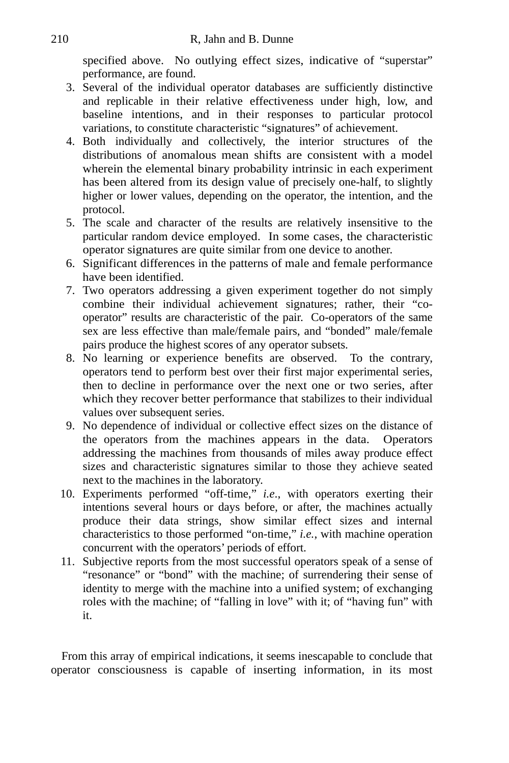specified above. No outlying effect sizes, indicative of "superstar" performance, are found.

- 3. Several of the individual operator databases are sufficiently distinctive and replicable in their relative effectiveness under high, low, and baseline intentions, and in their responses to particular protocol variations, to constitute characteristic "signatures" of achievement.
- 4. Both individually and collectively, the interior structures of the distributions of anomalous mean shifts are consistent with a model wherein the elemental binary probability intrinsic in each experiment has been altered from its design value of precisely one-half, to slightly higher or lower values, depending on the operator, the intention, and the protocol.
- 5. The scale and character of the results are relatively insensitive to the particular random device employed. In some cases, the characteristic operator signatures are quite similar from one device to another.
- 6. Significant differences in the patterns of male and female performance have been identified.
- 7. Two operators addressing a given experiment together do not simply combine their individual achievement signatures; rather, their "cooperator" results are characteristic of the pair. Co-operators of the same sex are less effective than male/female pairs, and "bonded" male/female pairs produce the highest scores of any operator subsets.
- 8. No learning or experience benefits are observed. To the contrary, operators tend to perform best over their first major experimental series, then to decline in performance over the next one or two series, after which they recover better performance that stabilizes to their individual values over subsequent series.
- 9. No dependence of individual or collective effect sizes on the distance of the operators from the machines appears in the data. Operators addressing the machines from thousands of miles away produce effect sizes and characteristic signatures similar to those they achieve seated next to the machines in the laboratory.
- 10. Experiments performed "off-time," *i.e*., with operators exerting their intentions several hours or days before, or after, the machines actually produce their data strings, show similar effect sizes and internal characteristics to those performed "on-time," *i.e.*, with machine operation concurrent with the operators' periods of effort.
- 11. Subjective reports from the most successful operators speak of a sense of "resonance" or "bond" with the machine; of surrendering their sense of identity to merge with the machine into a unified system; of exchanging roles with the machine; of "falling in love" with it; of "having fun" with it.

From this array of empirical indications, it seems inescapable to conclude that operator consciousness is capable of inserting information, in its most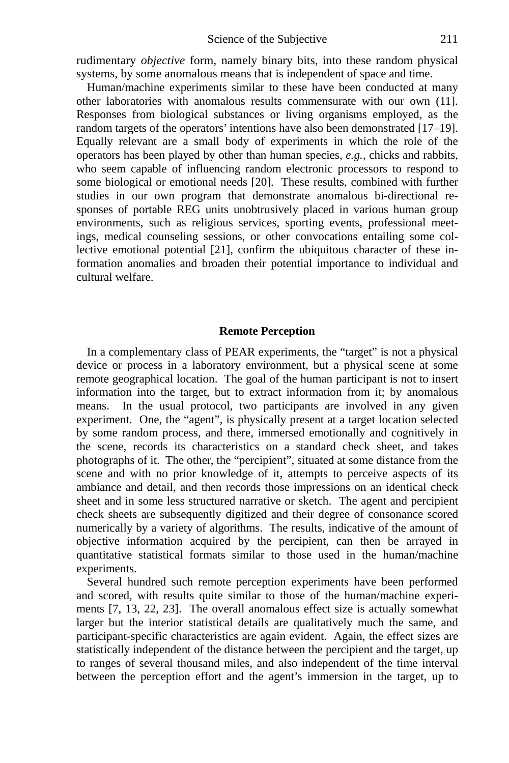rudimentary *objective* form, namely binary bits, into these random physical systems, by some anomalous means that is independent of space and time.

Human/machine experiments similar to these have been conducted at many other laboratories with anomalous results commensurate with our own (11]. Responses from biological substances or living organisms employed, as the random targets of the operators' intentions have also been demonstrated [17–19]. Equally relevant are a small body of experiments in which the role of the operators has been played by other than human species, *e.g.,* chicks and rabbits, who seem capable of influencing random electronic processors to respond to some biological or emotional needs [20]. These results, combined with further studies in our own program that demonstrate anomalous bi-directional responses of portable REG units unobtrusively placed in various human group environments, such as religious services, sporting events, professional meetings, medical counseling sessions, or other convocations entailing some collective emotional potential [21], confirm the ubiquitous character of these information anomalies and broaden their potential importance to individual and cultural welfare.

## **Remote Perception**

In a complementary class of PEAR experiments, the "target" is not a physical device or process in a laboratory environment, but a physical scene at some remote geographical location. The goal of the human participant is not to insert information into the target, but to extract information from it; by anomalous means. In the usual protocol, two participants are involved in any given experiment. One, the "agent", is physically present at a target location selected by some random process, and there, immersed emotionally and cognitively in the scene, records its characteristics on a standard check sheet, and takes photographs of it. The other, the "percipient", situated at some distance from the scene and with no prior knowledge of it, attempts to perceive aspects of its ambiance and detail, and then records those impressions on an identical check sheet and in some less structured narrative or sketch. The agent and percipient check sheets are subsequently digitized and their degree of consonance scored numerically by a variety of algorithms. The results, indicative of the amount of objective information acquired by the percipient, can then be arrayed in quantitative statistical formats similar to those used in the human/machine experiments.

Several hundred such remote perception experiments have been performed and scored, with results quite similar to those of the human/machine experiments [7, 13, 22, 23]. The overall anomalous effect size is actually somewhat larger but the interior statistical details are qualitatively much the same, and participant-specific characteristics are again evident. Again, the effect sizes are statistically independent of the distance between the percipient and the target, up to ranges of several thousand miles, and also independent of the time interval between the perception effort and the agent's immersion in the target, up to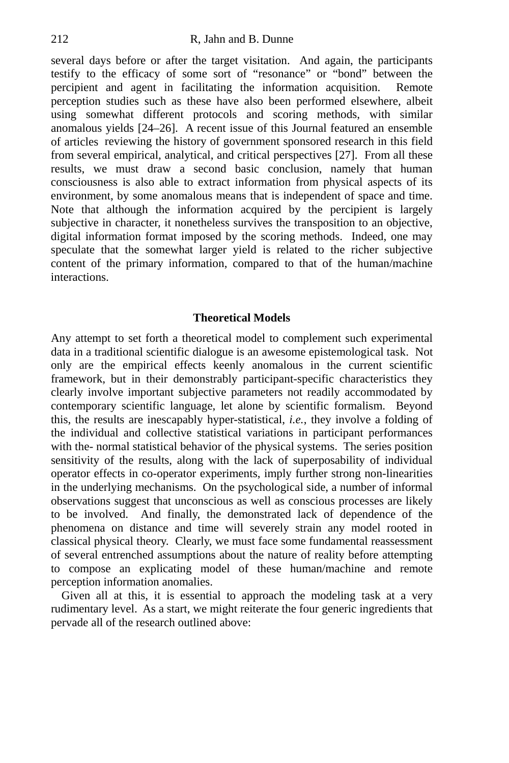several days before or after the target visitation. And again, the participants testify to the efficacy of some sort of "resonance" or "bond" between the percipient and agent in facilitating the information acquisition. Remote perception studies such as these have also been performed elsewhere, albeit using somewhat different protocols and scoring methods, with similar anomalous yields [24–26]. A recent issue of this Journal featured an ensemble of articles reviewing the history of government sponsored research in this field from several empirical, analytical, and critical perspectives [27]. From all these results, we must draw a second basic conclusion, namely that human consciousness is also able to extract information from physical aspects of its environment, by some anomalous means that is independent of space and time. Note that although the information acquired by the percipient is largely subjective in character, it nonetheless survives the transposition to an objective, digital information format imposed by the scoring methods. Indeed, one may speculate that the somewhat larger yield is related to the richer subjective content of the primary information, compared to that of the human/machine interactions.

## **Theoretical Models**

Any attempt to set forth a theoretical model to complement such experimental data in a traditional scientific dialogue is an awesome epistemological task. Not only are the empirical effects keenly anomalous in the current scientific framework, but in their demonstrably participant-specific characteristics they clearly involve important subjective parameters not readily accommodated by contemporary scientific language, let alone by scientific formalism. Beyond this, the results are inescapably hyper-statistical, *i.e.*, they involve a folding of the individual and collective statistical variations in participant performances with the- normal statistical behavior of the physical systems. The series position sensitivity of the results, along with the lack of superposability of individual operator effects in co-operator experiments, imply further strong non-linearities in the underlying mechanisms. On the psychological side, a number of informal observations suggest that unconscious as well as conscious processes are likely to be involved. And finally, the demonstrated lack of dependence of the phenomena on distance and time will severely strain any model rooted in classical physical theory. Clearly, we must face some fundamental reassessment of several entrenched assumptions about the nature of reality before attempting to compose an explicating model of these human/machine and remote perception information anomalies.

Given all at this, it is essential to approach the modeling task at a very rudimentary level. As a start, we might reiterate the four generic ingredients that pervade all of the research outlined above: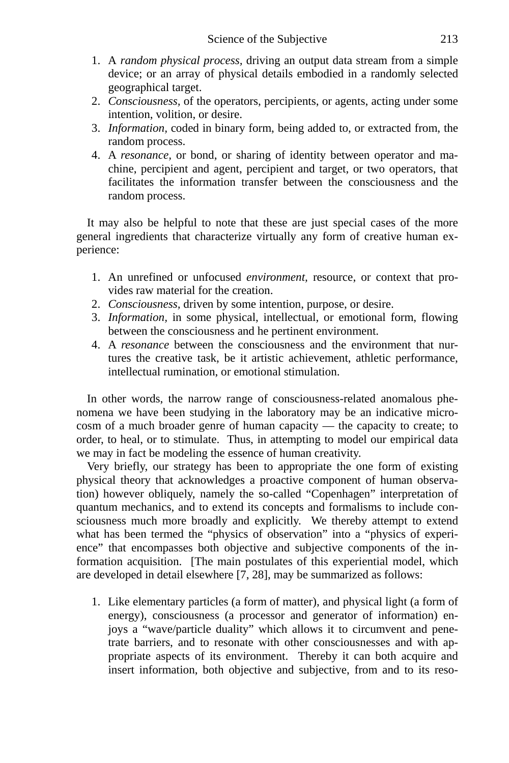- 1. A *random physical process,* driving an output data stream from a simple device; or an array of physical details embodied in a randomly selected geographical target.
- 2. *Consciousness,* of the operators, percipients, or agents, acting under some intention, volition, or desire.
- 3. *Information,* coded in binary form, being added to, or extracted from, the random process.
- 4. A *resonance,* or bond, or sharing of identity between operator and machine, percipient and agent, percipient and target, or two operators, that facilitates the information transfer between the consciousness and the random process.

It may also be helpful to note that these are just special cases of the more general ingredients that characterize virtually any form of creative human experience:

- 1. An unrefined or unfocused *environment,* resource, or context that provides raw material for the creation.
- 2. *Consciousness,* driven by some intention, purpose, or desire.
- 3. *Information,* in some physical, intellectual, or emotional form, flowing between the consciousness and he pertinent environment.
- 4. A *resonance* between the consciousness and the environment that nurtures the creative task, be it artistic achievement, athletic performance, intellectual rumination, or emotional stimulation.

In other words, the narrow range of consciousness-related anomalous phenomena we have been studying in the laboratory may be an indicative microcosm of a much broader genre of human capacity — the capacity to create; to order, to heal, or to stimulate. Thus, in attempting to model our empirical data we may in fact be modeling the essence of human creativity.

Very briefly, our strategy has been to appropriate the one form of existing physical theory that acknowledges a proactive component of human observation) however obliquely, namely the so-called "Copenhagen" interpretation of quantum mechanics, and to extend its concepts and formalisms to include consciousness much more broadly and explicitly. We thereby attempt to extend what has been termed the "physics of observation" into a "physics of experience" that encompasses both objective and subjective components of the information acquisition. [The main postulates of this experiential model, which are developed in detail elsewhere [7, 28], may be summarized as follows:

 1. Like elementary particles (a form of matter), and physical light (a form of energy), consciousness (a processor and generator of information) enjoys a "wave/particle duality" which allows it to circumvent and penetrate barriers, and to resonate with other consciousnesses and with appropriate aspects of its environment. Thereby it can both acquire and insert information, both objective and subjective, from and to its reso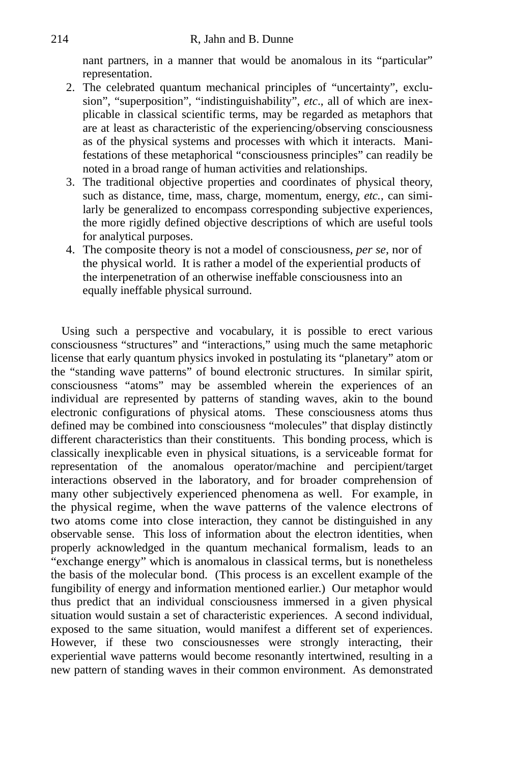nant partners, in a manner that would be anomalous in its "particular" representation.

- 2. The celebrated quantum mechanical principles of "uncertainty", exclusion", "superposition", "indistinguishability", *etc*., all of which are inexplicable in classical scientific terms, may be regarded as metaphors that are at least as characteristic of the experiencing/observing consciousness as of the physical systems and processes with which it interacts. Manifestations of these metaphorical "consciousness principles" can readily be noted in a broad range of human activities and relationships.
- 3. The traditional objective properties and coordinates of physical theory, such as distance, time, mass, charge, momentum, energy, *etc.*, can similarly be generalized to encompass corresponding subjective experiences, the more rigidly defined objective descriptions of which are useful tools for analytical purposes.
- 4. The composite theory is not a model of consciousness, *per se*, nor of the physical world. It is rather a model of the experiential products of the interpenetration of an otherwise ineffable consciousness into an equally ineffable physical surround.

Using such a perspective and vocabulary, it is possible to erect various consciousness "structures" and "interactions," using much the same metaphoric license that early quantum physics invoked in postulating its "planetary" atom or the "standing wave patterns" of bound electronic structures. In similar spirit, consciousness "atoms" may be assembled wherein the experiences of an individual are represented by patterns of standing waves, akin to the bound electronic configurations of physical atoms. These consciousness atoms thus defined may be combined into consciousness "molecules" that display distinctly different characteristics than their constituents. This bonding process, which is classically inexplicable even in physical situations, is a serviceable format for representation of the anomalous operator/machine and percipient/target interactions observed in the laboratory, and for broader comprehension of many other subjectively experienced phenomena as well. For example, in the physical regime, when the wave patterns of the valence electrons of two atoms come into close interaction, they cannot be distinguished in any observable sense. This loss of information about the electron identities, when properly acknowledged in the quantum mechanical formalism, leads to an "exchange energy" which is anomalous in classical terms, but is nonetheless the basis of the molecular bond. (This process is an excellent example of the fungibility of energy and information mentioned earlier.) Our metaphor would thus predict that an individual consciousness immersed in a given physical situation would sustain a set of characteristic experiences. A second individual, exposed to the same situation, would manifest a different set of experiences. However, if these two consciousnesses were strongly interacting, their experiential wave patterns would become resonantly intertwined, resulting in a new pattern of standing waves in their common environment. As demonstrated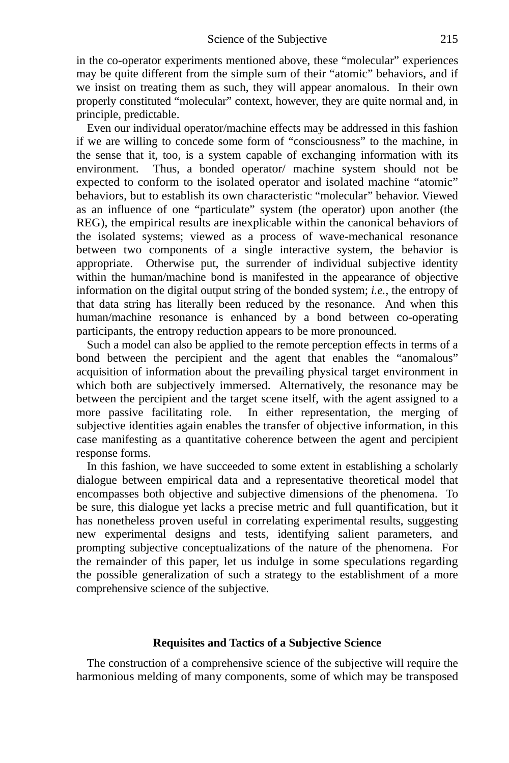in the co-operator experiments mentioned above, these "molecular" experiences may be quite different from the simple sum of their "atomic" behaviors, and if we insist on treating them as such, they will appear anomalous. In their own properly constituted "molecular" context, however, they are quite normal and, in principle, predictable.

Even our individual operator/machine effects may be addressed in this fashion if we are willing to concede some form of "consciousness" to the machine, in the sense that it, too, is a system capable of exchanging information with its environment. Thus, a bonded operator/ machine system should not be expected to conform to the isolated operator and isolated machine "atomic" behaviors, but to establish its own characteristic "molecular" behavior. Viewed as an influence of one "particulate" system (the operator) upon another (the REG), the empirical results are inexplicable within the canonical behaviors of the isolated systems; viewed as a process of wave-mechanical resonance between two components of a single interactive system, the behavior is appropriate. Otherwise put, the surrender of individual subjective identity within the human/machine bond is manifested in the appearance of objective information on the digital output string of the bonded system; *i.e.*, the entropy of that data string has literally been reduced by the resonance. And when this human/machine resonance is enhanced by a bond between co-operating participants, the entropy reduction appears to be more pronounced.

Such a model can also be applied to the remote perception effects in terms of a bond between the percipient and the agent that enables the "anomalous" acquisition of information about the prevailing physical target environment in which both are subjectively immersed. Alternatively, the resonance may be between the percipient and the target scene itself, with the agent assigned to a more passive facilitating role. In either representation, the merging of subjective identities again enables the transfer of objective information, in this case manifesting as a quantitative coherence between the agent and percipient response forms.

In this fashion, we have succeeded to some extent in establishing a scholarly dialogue between empirical data and a representative theoretical model that encompasses both objective and subjective dimensions of the phenomena. To be sure, this dialogue yet lacks a precise metric and full quantification, but it has nonetheless proven useful in correlating experimental results, suggesting new experimental designs and tests, identifying salient parameters, and prompting subjective conceptualizations of the nature of the phenomena. For the remainder of this paper, let us indulge in some speculations regarding the possible generalization of such a strategy to the establishment of a more comprehensive science of the subjective.

# **Requisites and Tactics of a Subjective Science**

The construction of a comprehensive science of the subjective will require the harmonious melding of many components, some of which may be transposed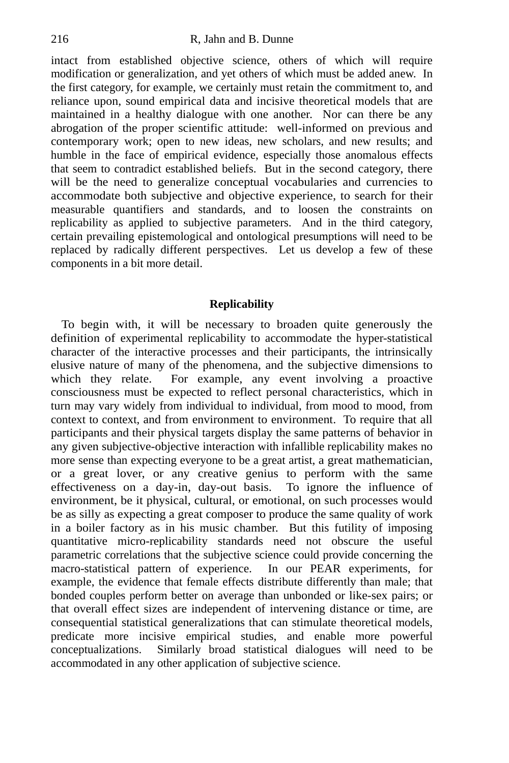intact from established objective science, others of which will require modification or generalization, and yet others of which must be added anew. In the first category, for example, we certainly must retain the commitment to, and reliance upon, sound empirical data and incisive theoretical models that are maintained in a healthy dialogue with one another. Nor can there be any abrogation of the proper scientific attitude: well-informed on previous and contemporary work; open to new ideas, new scholars, and new results; and humble in the face of empirical evidence, especially those anomalous effects that seem to contradict established beliefs. But in the second category, there will be the need to generalize conceptual vocabularies and currencies to accommodate both subjective and objective experience, to search for their measurable quantifiers and standards, and to loosen the constraints on replicability as applied to subjective parameters. And in the third category, certain prevailing epistemological and ontological presumptions will need to be replaced by radically different perspectives. Let us develop a few of these components in a bit more detail.

## **Replicability**

To begin with, it will be necessary to broaden quite generously the definition of experimental replicability to accommodate the hyper-statistical character of the interactive processes and their participants, the intrinsically elusive nature of many of the phenomena, and the subjective dimensions to which they relate. For example, any event involving a proactive consciousness must be expected to reflect personal characteristics, which in turn may vary widely from individual to individual, from mood to mood, from context to context, and from environment to environment. To require that all participants and their physical targets display the same patterns of behavior in any given subjective-objective interaction with infallible replicability makes no more sense than expecting everyone to be a great artist, a great mathematician, or a great lover, or any creative genius to perform with the same effectiveness on a day-in, day-out basis. To ignore the influence of environment, be it physical, cultural, or emotional, on such processes would be as silly as expecting a great composer to produce the same quality of work in a boiler factory as in his music chamber. But this futility of imposing quantitative micro-replicability standards need not obscure the useful parametric correlations that the subjective science could provide concerning the macro-statistical pattern of experience. In our PEAR experiments, for example, the evidence that female effects distribute differently than male; that bonded couples perform better on average than unbonded or like-sex pairs; or that overall effect sizes are independent of intervening distance or time, are consequential statistical generalizations that can stimulate theoretical models, predicate more incisive empirical studies, and enable more powerful conceptualizations. Similarly broad statistical dialogues will need to be accommodated in any other application of subjective science.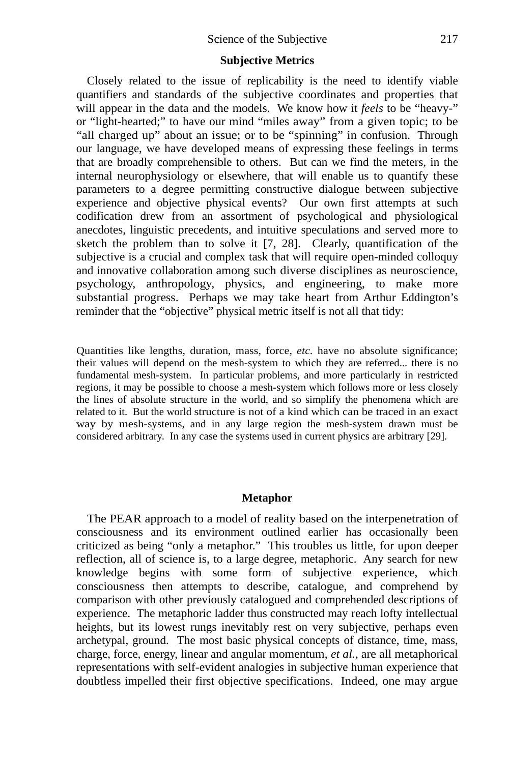#### **Subjective Metrics**

Closely related to the issue of replicability is the need to identify viable quantifiers and standards of the subjective coordinates and properties that will appear in the data and the models. We know how it *feels* to be "heavy-" or "light-hearted;" to have our mind "miles away" from a given topic; to be "all charged up" about an issue; or to be "spinning" in confusion. Through our language, we have developed means of expressing these feelings in terms that are broadly comprehensible to others. But can we find the meters, in the internal neurophysiology or elsewhere, that will enable us to quantify these parameters to a degree permitting constructive dialogue between subjective experience and objective physical events? Our own first attempts at such codification drew from an assortment of psychological and physiological anecdotes, linguistic precedents, and intuitive speculations and served more to sketch the problem than to solve it [7, 28]. Clearly, quantification of the subjective is a crucial and complex task that will require open-minded colloquy and innovative collaboration among such diverse disciplines as neuroscience, psychology, anthropology, physics, and engineering, to make more substantial progress. Perhaps we may take heart from Arthur Eddington's reminder that the "objective" physical metric itself is not all that tidy:

Quantities like lengths, duration, mass, force, *etc.* have no absolute significance; their values will depend on the mesh-system to which they are referred... there is no fundamental mesh-system. In particular problems, and more particularly in restricted regions, it may be possible to choose a mesh-system which follows more or less closely the lines of absolute structure in the world, and so simplify the phenomena which are related to it. But the world structure is not of a kind which can be traced in an exact way by mesh-systems, and in any large region the mesh-system drawn must be considered arbitrary. In any case the systems used in current physics are arbitrary [29].

#### **Metaphor**

The PEAR approach to a model of reality based on the interpenetration of consciousness and its environment outlined earlier has occasionally been criticized as being "only a metaphor." This troubles us little, for upon deeper reflection, all of science is, to a large degree, metaphoric. Any search for new knowledge begins with some form of subjective experience, which consciousness then attempts to describe, catalogue, and comprehend by comparison with other previously catalogued and comprehended descriptions of experience. The metaphoric ladder thus constructed may reach lofty intellectual heights, but its lowest rungs inevitably rest on very subjective, perhaps even archetypal, ground. The most basic physical concepts of distance, time, mass, charge, force, energy, linear and angular momentum, *et al.*, are all metaphorical representations with self-evident analogies in subjective human experience that doubtless impelled their first objective specifications. Indeed, one may argue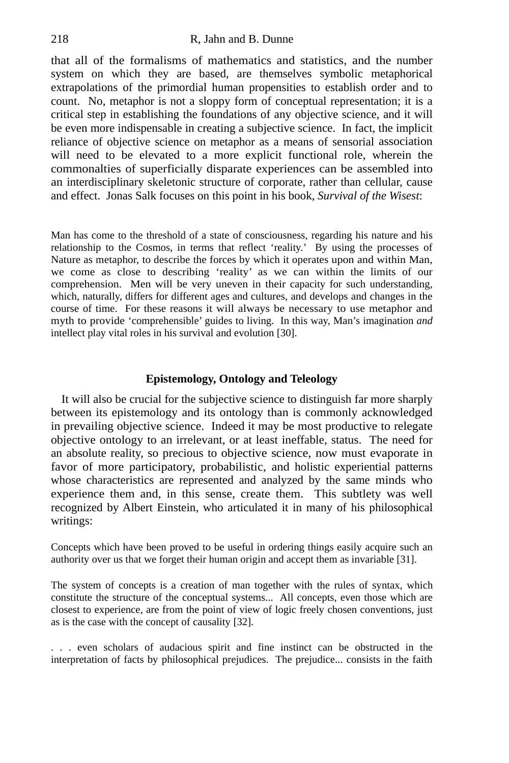that all of the formalisms of mathematics and statistics, and the number system on which they are based, are themselves symbolic metaphorical extrapolations of the primordial human propensities to establish order and to count. No, metaphor is not a sloppy form of conceptual representation; it is a critical step in establishing the foundations of any objective science, and it will be even more indispensable in creating a subjective science. In fact, the implicit reliance of objective science on metaphor as a means of sensorial association will need to be elevated to a more explicit functional role, wherein the commonalties of superficially disparate experiences can be assembled into an interdisciplinary skeletonic structure of corporate, rather than cellular, cause and effect. Jonas Salk focuses on this point in his book, *Survival of the Wisest*:

Man has come to the threshold of a state of consciousness, regarding his nature and his relationship to the Cosmos, in terms that reflect 'reality.' By using the processes of Nature as metaphor, to describe the forces by which it operates upon and within Man, we come as close to describing 'reality' as we can within the limits of our comprehension. Men will be very uneven in their capacity for such understanding, which, naturally, differs for different ages and cultures, and develops and changes in the course of time. For these reasons it will always be necessary to use metaphor and myth to provide 'comprehensible' guides to living. In this way, Man's imagination *and* intellect play vital roles in his survival and evolution [30].

## **Epistemology, Ontology and Teleology**

It will also be crucial for the subjective science to distinguish far more sharply between its epistemology and its ontology than is commonly acknowledged in prevailing objective science. Indeed it may be most productive to relegate objective ontology to an irrelevant, or at least ineffable, status. The need for an absolute reality, so precious to objective science, now must evaporate in favor of more participatory, probabilistic, and holistic experiential patterns whose characteristics are represented and analyzed by the same minds who experience them and, in this sense, create them. This subtlety was well recognized by Albert Einstein, who articulated it in many of his philosophical writings:

Concepts which have been proved to be useful in ordering things easily acquire such an authority over us that we forget their human origin and accept them as invariable [31].

The system of concepts is a creation of man together with the rules of syntax, which constitute the structure of the conceptual systems... All concepts, even those which are closest to experience, are from the point of view of logic freely chosen conventions, just as is the case with the concept of causality [32].

. . . even scholars of audacious spirit and fine instinct can be obstructed in the interpretation of facts by philosophical prejudices. The prejudice... consists in the faith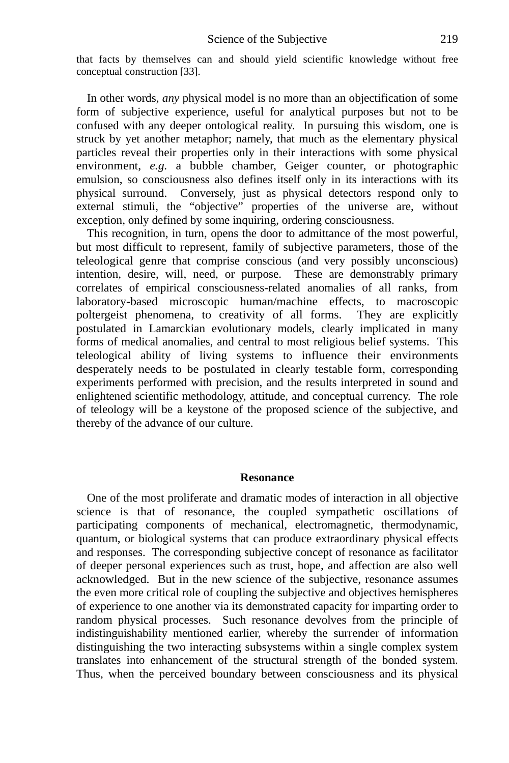that facts by themselves can and should yield scientific knowledge without free conceptual construction [33].

In other words, *any* physical model is no more than an objectification of some form of subjective experience, useful for analytical purposes but not to be confused with any deeper ontological reality. In pursuing this wisdom, one is struck by yet another metaphor; namely, that much as the elementary physical particles reveal their properties only in their interactions with some physical environment, *e.g.* a bubble chamber, Geiger counter, or photographic emulsion, so consciousness also defines itself only in its interactions with its physical surround. Conversely, just as physical detectors respond only to external stimuli, the "objective" properties of the universe are, without exception, only defined by some inquiring, ordering consciousness.

This recognition, in turn, opens the door to admittance of the most powerful, but most difficult to represent, family of subjective parameters, those of the teleological genre that comprise conscious (and very possibly unconscious) intention, desire, will, need, or purpose. These are demonstrably primary correlates of empirical consciousness-related anomalies of all ranks, from laboratory-based microscopic human/machine effects, to macroscopic poltergeist phenomena, to creativity of all forms. They are explicitly postulated in Lamarckian evolutionary models, clearly implicated in many forms of medical anomalies, and central to most religious belief systems. This teleological ability of living systems to influence their environments desperately needs to be postulated in clearly testable form, corresponding experiments performed with precision, and the results interpreted in sound and enlightened scientific methodology, attitude, and conceptual currency. The role of teleology will be a keystone of the proposed science of the subjective, and thereby of the advance of our culture.

#### **Resonance**

One of the most proliferate and dramatic modes of interaction in all objective science is that of resonance, the coupled sympathetic oscillations of participating components of mechanical, electromagnetic, thermodynamic, quantum, or biological systems that can produce extraordinary physical effects and responses. The corresponding subjective concept of resonance as facilitator of deeper personal experiences such as trust, hope, and affection are also well acknowledged. But in the new science of the subjective, resonance assumes the even more critical role of coupling the subjective and objectives hemispheres of experience to one another via its demonstrated capacity for imparting order to random physical processes. Such resonance devolves from the principle of indistinguishability mentioned earlier, whereby the surrender of information distinguishing the two interacting subsystems within a single complex system translates into enhancement of the structural strength of the bonded system. Thus, when the perceived boundary between consciousness and its physical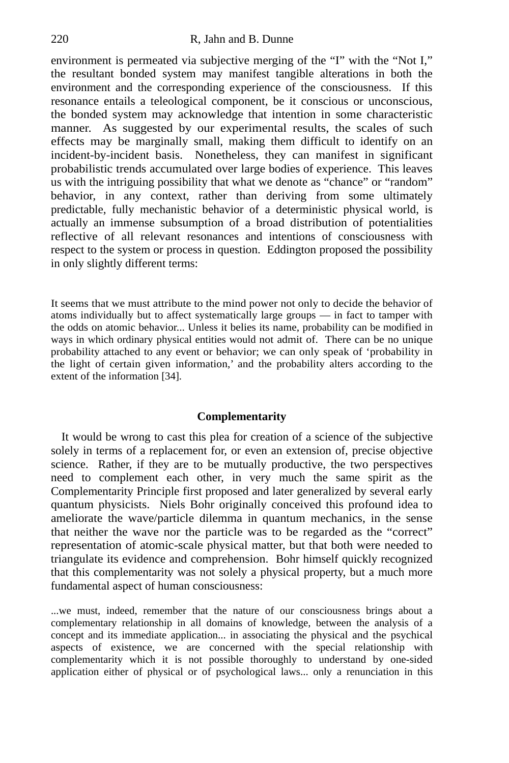environment is permeated via subjective merging of the "I" with the "Not I," the resultant bonded system may manifest tangible alterations in both the environment and the corresponding experience of the consciousness. If this resonance entails a teleological component, be it conscious or unconscious, the bonded system may acknowledge that intention in some characteristic manner. As suggested by our experimental results, the scales of such effects may be marginally small, making them difficult to identify on an incident-by-incident basis. Nonetheless, they can manifest in significant probabilistic trends accumulated over large bodies of experience. This leaves us with the intriguing possibility that what we denote as "chance" or "random" behavior, in any context, rather than deriving from some ultimately predictable, fully mechanistic behavior of a deterministic physical world, is actually an immense subsumption of a broad distribution of potentialities reflective of all relevant resonances and intentions of consciousness with respect to the system or process in question. Eddington proposed the possibility in only slightly different terms:

It seems that we must attribute to the mind power not only to decide the behavior of atoms individually but to affect systematically large groups — in fact to tamper with the odds on atomic behavior... Unless it belies its name, probability can be modified in ways in which ordinary physical entities would not admit of. There can be no unique probability attached to any event or behavior; we can only speak of 'probability in the light of certain given information,' and the probability alters according to the extent of the information [34].

## **Complementarity**

It would be wrong to cast this plea for creation of a science of the subjective solely in terms of a replacement for, or even an extension of, precise objective science. Rather, if they are to be mutually productive, the two perspectives need to complement each other, in very much the same spirit as the Complementarity Principle first proposed and later generalized by several early quantum physicists. Niels Bohr originally conceived this profound idea to ameliorate the wave/particle dilemma in quantum mechanics, in the sense that neither the wave nor the particle was to be regarded as the "correct" representation of atomic-scale physical matter, but that both were needed to triangulate its evidence and comprehension. Bohr himself quickly recognized that this complementarity was not solely a physical property, but a much more fundamental aspect of human consciousness:

...we must, indeed, remember that the nature of our consciousness brings about a complementary relationship in all domains of knowledge, between the analysis of a concept and its immediate application... in associating the physical and the psychical aspects of existence, we are concerned with the special relationship with complementarity which it is not possible thoroughly to understand by one-sided application either of physical or of psychological laws... only a renunciation in this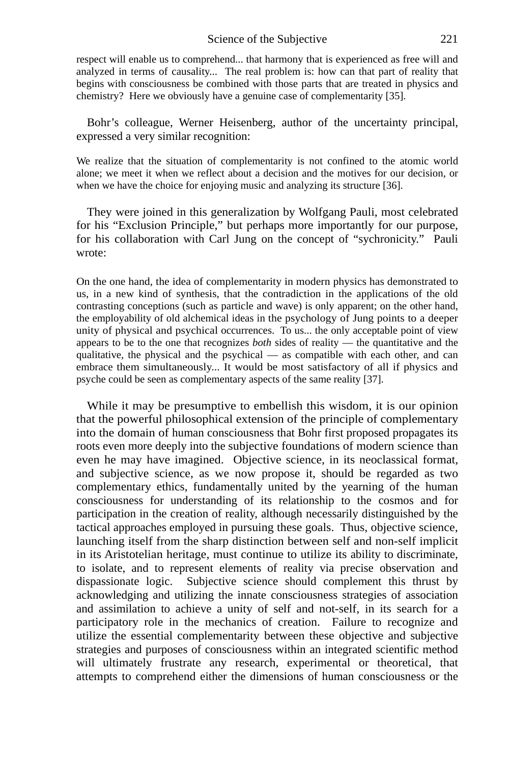#### Science of the Subjective 221

respect will enable us to comprehend... that harmony that is experienced as free will and analyzed in terms of causality... The real problem is: how can that part of reality that begins with consciousness be combined with those parts that are treated in physics and chemistry? Here we obviously have a genuine case of complementarity [35].

Bohr's colleague, Werner Heisenberg, author of the uncertainty principal, expressed a very similar recognition:

We realize that the situation of complementarity is not confined to the atomic world alone; we meet it when we reflect about a decision and the motives for our decision, or when we have the choice for enjoying music and analyzing its structure [36].

They were joined in this generalization by Wolfgang Pauli, most celebrated for his "Exclusion Principle," but perhaps more importantly for our purpose, for his collaboration with Carl Jung on the concept of "sychronicity." Pauli wrote:

On the one hand, the idea of complementarity in modern physics has demonstrated to us, in a new kind of synthesis, that the contradiction in the applications of the old contrasting conceptions (such as particle and wave) is only apparent; on the other hand, the employability of old alchemical ideas in the psychology of Jung points to a deeper unity of physical and psychical occurrences. To us... the only acceptable point of view appears to be to the one that recognizes *both* sides of reality — the quantitative and the qualitative, the physical and the psychical — as compatible with each other, and can embrace them simultaneously... It would be most satisfactory of all if physics and psyche could be seen as complementary aspects of the same reality [37].

While it may be presumptive to embellish this wisdom, it is our opinion that the powerful philosophical extension of the principle of complementary into the domain of human consciousness that Bohr first proposed propagates its roots even more deeply into the subjective foundations of modern science than even he may have imagined. Objective science, in its neoclassical format, and subjective science, as we now propose it, should be regarded as two complementary ethics, fundamentally united by the yearning of the human consciousness for understanding of its relationship to the cosmos and for participation in the creation of reality, although necessarily distinguished by the tactical approaches employed in pursuing these goals. Thus, objective science, launching itself from the sharp distinction between self and non-self implicit in its Aristotelian heritage, must continue to utilize its ability to discriminate, to isolate, and to represent elements of reality via precise observation and dispassionate logic. Subjective science should complement this thrust by acknowledging and utilizing the innate consciousness strategies of association and assimilation to achieve a unity of self and not-self, in its search for a participatory role in the mechanics of creation. Failure to recognize and utilize the essential complementarity between these objective and subjective strategies and purposes of consciousness within an integrated scientific method will ultimately frustrate any research, experimental or theoretical, that attempts to comprehend either the dimensions of human consciousness or the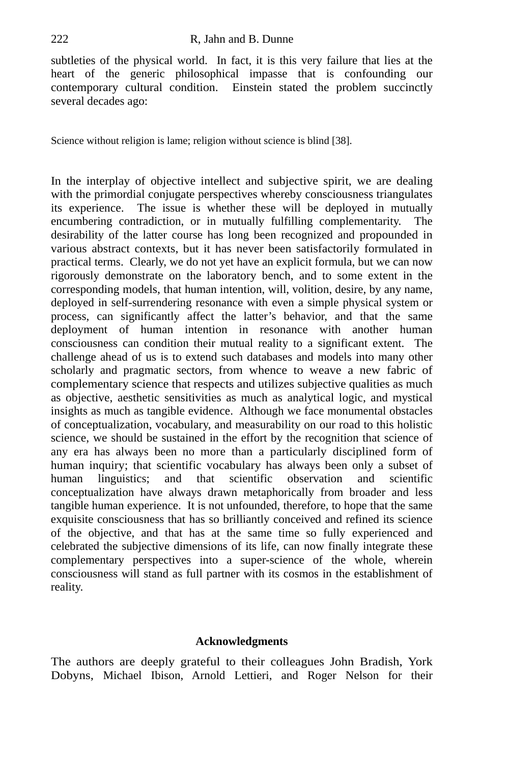# 222 R, Jahn and B. Dunne

subtleties of the physical world. In fact, it is this very failure that lies at the heart of the generic philosophical impasse that is confounding our contemporary cultural condition. Einstein stated the problem succinctly several decades ago:

Science without religion is lame; religion without science is blind [38].

In the interplay of objective intellect and subjective spirit, we are dealing with the primordial conjugate perspectives whereby consciousness triangulates its experience. The issue is whether these will be deployed in mutually encumbering contradiction, or in mutually fulfilling complementarity. The desirability of the latter course has long been recognized and propounded in various abstract contexts, but it has never been satisfactorily formulated in practical terms. Clearly, we do not yet have an explicit formula, but we can now rigorously demonstrate on the laboratory bench, and to some extent in the corresponding models, that human intention, will, volition, desire, by any name, deployed in self-surrendering resonance with even a simple physical system or process, can significantly affect the latter's behavior, and that the same deployment of human intention in resonance with another human consciousness can condition their mutual reality to a significant extent. The challenge ahead of us is to extend such databases and models into many other scholarly and pragmatic sectors, from whence to weave a new fabric of complementary science that respects and utilizes subjective qualities as much as objective, aesthetic sensitivities as much as analytical logic, and mystical insights as much as tangible evidence. Although we face monumental obstacles of conceptualization, vocabulary, and measurability on our road to this holistic science, we should be sustained in the effort by the recognition that science of any era has always been no more than a particularly disciplined form of human inquiry; that scientific vocabulary has always been only a subset of human linguistics; and that scientific observation and scientific conceptualization have always drawn metaphorically from broader and less tangible human experience. It is not unfounded, therefore, to hope that the same exquisite consciousness that has so brilliantly conceived and refined its science of the objective, and that has at the same time so fully experienced and celebrated the subjective dimensions of its life, can now finally integrate these complementary perspectives into a super-science of the whole, wherein consciousness will stand as full partner with its cosmos in the establishment of reality.

#### **Acknowledgments**

The authors are deeply grateful to their colleagues John Bradish, York Dobyns, Michael Ibison, Arnold Lettieri, and Roger Nelson for their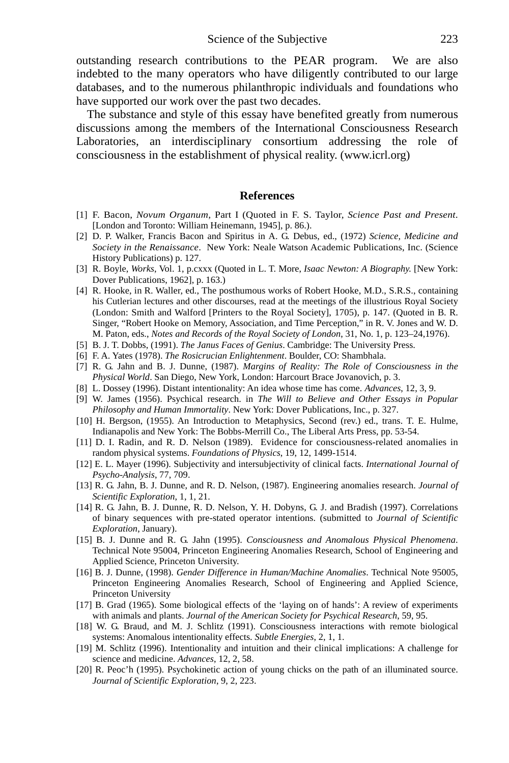outstanding research contributions to the PEAR program. We are also indebted to the many operators who have diligently contributed to our large databases, and to the numerous philanthropic individuals and foundations who have supported our work over the past two decades.

The substance and style of this essay have benefited greatly from numerous discussions among the members of the International Consciousness Research Laboratories, an interdisciplinary consortium addressing the role of consciousness in the establishment of physical reality. [\(www.icrl.org\)](http://www.icrl.org/)

#### **References**

- [1] F. Bacon, *Novum Organum*, Part I (Quoted in F. S. Taylor, *Science Past and Present*. [London and Toronto: William Heinemann, 1945], p. 86.).
- [2] D. P. Walker, Francis Bacon and Spiritus in A. G. Debus, ed., (1972) *Science, Medicine and Society in the Renaissance*. New York: Neale Watson Academic Publications, Inc. (Science History Publications) p. 127.
- [3] R. Boyle, *Works*, Vol. 1, p.cxxx (Quoted in L. T. More, *Isaac Newton: A Biography.* [New York: Dover Publications, 1962], p. 163.)
- [4] R. Hooke, in R. Waller, ed., The posthumous works of Robert Hooke, M.D., S.R.S., containing his Cutlerian lectures and other discourses, read at the meetings of the illustrious Royal Society (London: Smith and Walford [Printers to the Royal Society], 1705), p. 147. (Quoted in B. R. Singer, "Robert Hooke on Memory, Association, and Time Perception," in R. V. Jones and W. D. M. Paton, eds., *Notes and Records of the Royal Society of London*, 31, No. 1, p. 123–24,1976).
- [5] B. J. T. Dobbs, (1991). *The Janus Faces of Genius*. Cambridge: The University Press.
- [6] F. A. Yates (1978). *The Rosicrucian Enlightenment*. Boulder, CO: Shambhala.
- [7] R. G. Jahn and B. J. Dunne, (1987). *Margins of Reality: The Role of Consciousness in the Physical World*. San Diego, New York, London: Harcourt Brace Jovanovich, p. 3.
- [8] L. Dossey (1996). Distant intentionality: An idea whose time has come. *Advances*, 12, 3, 9.
- [9] W. James (1956). Psychical research. in *The Will to Believe and Other Essays in Popular Philosophy and Human Immortality*. New York: Dover Publications, Inc., p. 327.
- [10] H. Bergson, (1955). An Introduction to Metaphysics, Second (rev.) ed., trans. T. E. Hulme, Indianapolis and New York: The Bobbs-Merrill Co., The Liberal Arts Press, pp. 53-54.
- [11] D. I. Radin, and R. D. Nelson (1989). Evidence for consciousness-related anomalies in random physical systems. *Foundations of Physics*, 19, 12, 1499-1514.
- [12] E. L. Mayer (1996). Subjectivity and intersubjectivity of clinical facts. *International Journal of Psycho-Analysis*, 77, 709.
- [13] R. G. Jahn, B. J. Dunne, and R. D. Nelson, (1987). Engineering anomalies research. *Journal of Scientific Exploration*, 1, 1, 21.
- [14] R. G. Jahn, B. J. Dunne, R. D. Nelson, Y. H. Dobyns, G. J. and Bradish (1997). Correlations of binary sequences with pre-stated operator intentions. (submitted to *Journal of Scientific Exploration*, January).
- [15] B. J. Dunne and R. G. Jahn (1995). *Consciousness and Anomalous Physical Phenomena*. Technical Note 95004, Princeton Engineering Anomalies Research, School of Engineering and Applied Science, Princeton University.
- [16] B. J. Dunne, (1998). *Gender Difference in Human/Machine Anomalies*. Technical Note 95005, Princeton Engineering Anomalies Research, School of Engineering and Applied Science, Princeton University
- [17] B. Grad (1965). Some biological effects of the 'laying on of hands': A review of experiments with animals and plants. *Journal of the American Society for Psychical Research*, 59, 95.
- [18] W. G. Braud, and M. J. Schlitz (1991). Consciousness interactions with remote biological systems: Anomalous intentionality effects. *Subtle Energies*, 2, 1, 1.
- [19] M. Schlitz (1996). Intentionality and intuition and their clinical implications: A challenge for science and medicine. *Advances*, 12, 2, 58.
- [20] R. Peoc'h (1995). Psychokinetic action of young chicks on the path of an illuminated source. *Journal of Scientific Exploration*, 9, 2, 223.